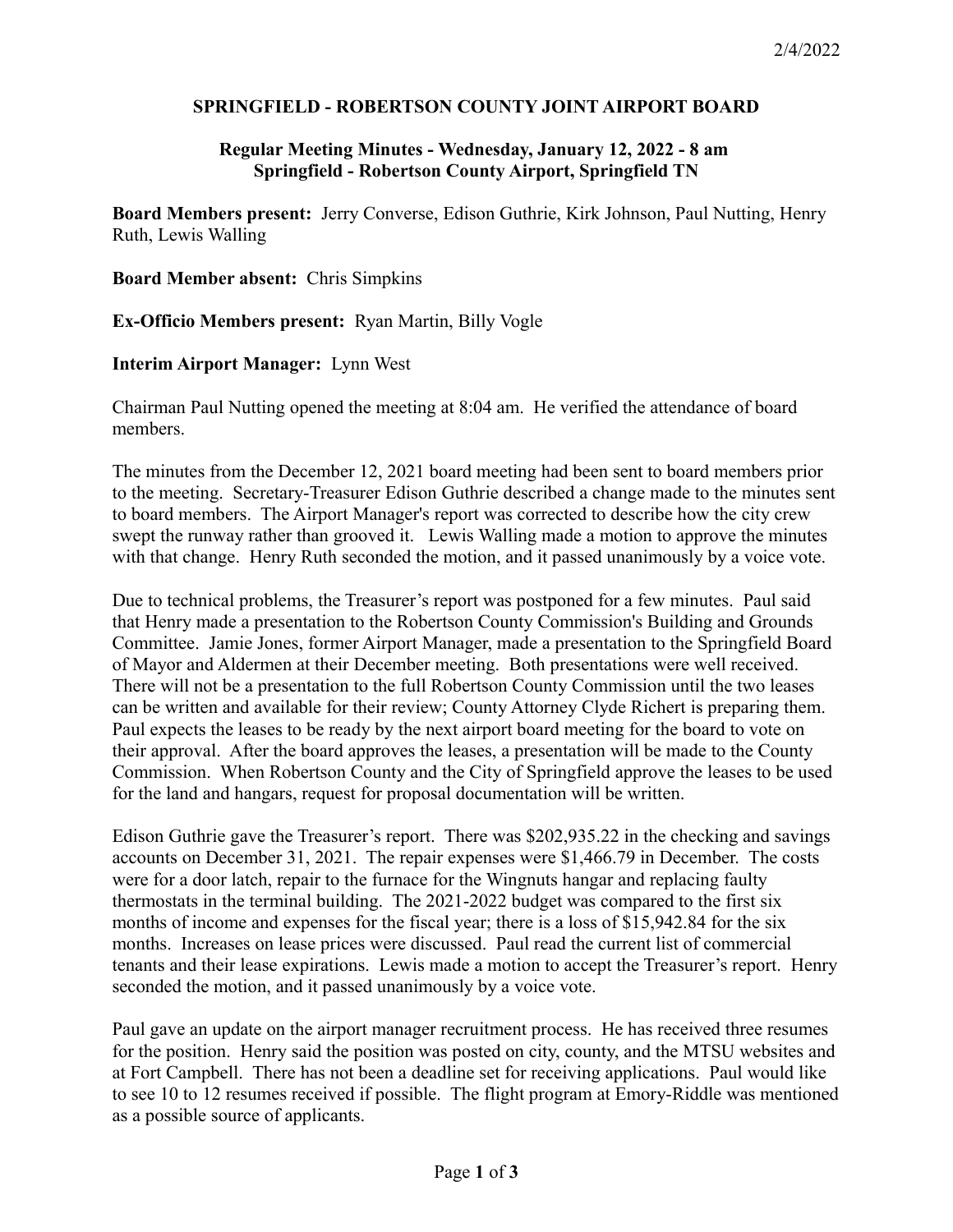## **SPRINGFIELD - ROBERTSON COUNTY JOINT AIRPORT BOARD**

## **Regular Meeting Minutes - Wednesday, January 12, 2022 - 8 am Springfield - Robertson County Airport, Springfield TN**

**Board Members present:** Jerry Converse, Edison Guthrie, Kirk Johnson, Paul Nutting, Henry Ruth, Lewis Walling

**Board Member absent:** Chris Simpkins

**Ex-Officio Members present:** Ryan Martin, Billy Vogle

## **Interim Airport Manager:** Lynn West

Chairman Paul Nutting opened the meeting at 8:04 am. He verified the attendance of board members.

The minutes from the December 12, 2021 board meeting had been sent to board members prior to the meeting. Secretary-Treasurer Edison Guthrie described a change made to the minutes sent to board members. The Airport Manager's report was corrected to describe how the city crew swept the runway rather than grooved it. Lewis Walling made a motion to approve the minutes with that change. Henry Ruth seconded the motion, and it passed unanimously by a voice vote.

Due to technical problems, the Treasurer's report was postponed for a few minutes. Paul said that Henry made a presentation to the Robertson County Commission's Building and Grounds Committee. Jamie Jones, former Airport Manager, made a presentation to the Springfield Board of Mayor and Aldermen at their December meeting. Both presentations were well received. There will not be a presentation to the full Robertson County Commission until the two leases can be written and available for their review; County Attorney Clyde Richert is preparing them. Paul expects the leases to be ready by the next airport board meeting for the board to vote on their approval. After the board approves the leases, a presentation will be made to the County Commission. When Robertson County and the City of Springfield approve the leases to be used for the land and hangars, request for proposal documentation will be written.

Edison Guthrie gave the Treasurer's report. There was \$202,935.22 in the checking and savings accounts on December 31, 2021. The repair expenses were \$1,466.79 in December. The costs were for a door latch, repair to the furnace for the Wingnuts hangar and replacing faulty thermostats in the terminal building. The 2021-2022 budget was compared to the first six months of income and expenses for the fiscal year; there is a loss of \$15,942.84 for the six months. Increases on lease prices were discussed. Paul read the current list of commercial tenants and their lease expirations. Lewis made a motion to accept the Treasurer's report. Henry seconded the motion, and it passed unanimously by a voice vote.

Paul gave an update on the airport manager recruitment process. He has received three resumes for the position. Henry said the position was posted on city, county, and the MTSU websites and at Fort Campbell. There has not been a deadline set for receiving applications. Paul would like to see 10 to 12 resumes received if possible. The flight program at Emory-Riddle was mentioned as a possible source of applicants.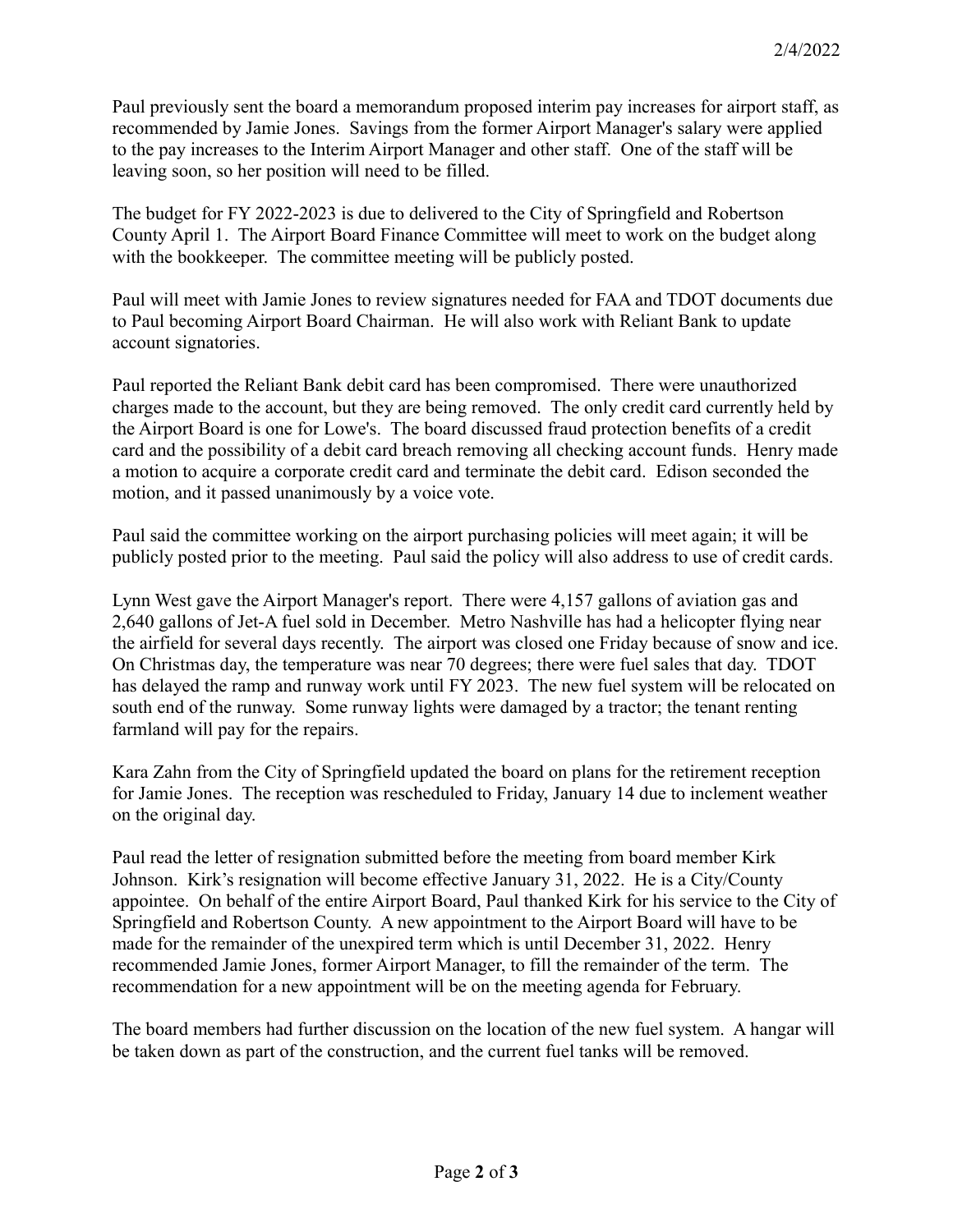Paul previously sent the board a memorandum proposed interim pay increases for airport staff, as recommended by Jamie Jones. Savings from the former Airport Manager's salary were applied to the pay increases to the Interim Airport Manager and other staff. One of the staff will be leaving soon, so her position will need to be filled.

The budget for FY 2022-2023 is due to delivered to the City of Springfield and Robertson County April 1. The Airport Board Finance Committee will meet to work on the budget along with the bookkeeper. The committee meeting will be publicly posted.

Paul will meet with Jamie Jones to review signatures needed for FAA and TDOT documents due to Paul becoming Airport Board Chairman. He will also work with Reliant Bank to update account signatories.

Paul reported the Reliant Bank debit card has been compromised. There were unauthorized charges made to the account, but they are being removed. The only credit card currently held by the Airport Board is one for Lowe's. The board discussed fraud protection benefits of a credit card and the possibility of a debit card breach removing all checking account funds. Henry made a motion to acquire a corporate credit card and terminate the debit card. Edison seconded the motion, and it passed unanimously by a voice vote.

Paul said the committee working on the airport purchasing policies will meet again; it will be publicly posted prior to the meeting. Paul said the policy will also address to use of credit cards.

Lynn West gave the Airport Manager's report. There were 4,157 gallons of aviation gas and 2,640 gallons of Jet-A fuel sold in December. Metro Nashville has had a helicopter flying near the airfield for several days recently. The airport was closed one Friday because of snow and ice. On Christmas day, the temperature was near 70 degrees; there were fuel sales that day. TDOT has delayed the ramp and runway work until FY 2023. The new fuel system will be relocated on south end of the runway. Some runway lights were damaged by a tractor; the tenant renting farmland will pay for the repairs.

Kara Zahn from the City of Springfield updated the board on plans for the retirement reception for Jamie Jones. The reception was rescheduled to Friday, January 14 due to inclement weather on the original day.

Paul read the letter of resignation submitted before the meeting from board member Kirk Johnson. Kirk's resignation will become effective January 31, 2022. He is a City/County appointee. On behalf of the entire Airport Board, Paul thanked Kirk for his service to the City of Springfield and Robertson County. A new appointment to the Airport Board will have to be made for the remainder of the unexpired term which is until December 31, 2022. Henry recommended Jamie Jones, former Airport Manager, to fill the remainder of the term. The recommendation for a new appointment will be on the meeting agenda for February.

The board members had further discussion on the location of the new fuel system. A hangar will be taken down as part of the construction, and the current fuel tanks will be removed.